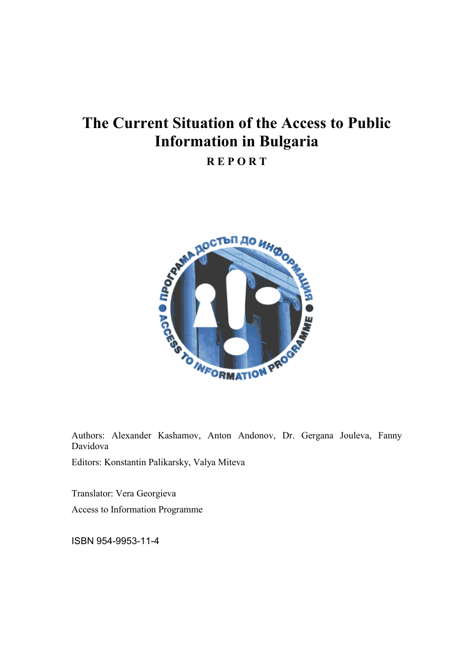# **The Current Situation of the Access to Public Information in Bulgaria**

**R E P O R T** 



Authors: Alexander Kashamov, Anton Andonov, Dr. Gergana Jouleva, Fanny Davidova

Editors: Konstantin Palikarsky, Valya Miteva

Translator: Vera Georgieva Access to Information Programme

ISBN 954-9953-11-4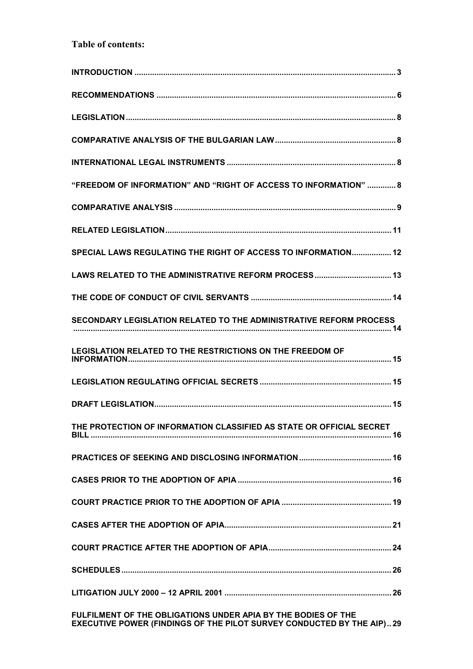## **Table of contents:**

| "FREEDOM OF INFORMATION" AND "RIGHT OF ACCESS TO INFORMATION"  8     |
|----------------------------------------------------------------------|
|                                                                      |
|                                                                      |
| SPECIAL LAWS REGULATING THE RIGHT OF ACCESS TO INFORMATION 12        |
|                                                                      |
|                                                                      |
| SECONDARY LEGISLATION RELATED TO THE ADMINISTRATIVE REFORM PROCESS   |
| <b>LEGISLATION RELATED TO THE RESTRICTIONS ON THE FREEDOM OF</b>     |
|                                                                      |
|                                                                      |
| THE PROTECTION OF INFORMATION CLASSIFIED AS STATE OR OFFICIAL SECRET |
|                                                                      |
|                                                                      |
|                                                                      |
|                                                                      |
|                                                                      |
|                                                                      |
|                                                                      |
| FULFILMENT OF THE OBLIGATIONS UNDER APIA BY THE BODIES OF THE        |

**EXECUTIVE POWER (FINDINGS OF THE PILOT SURVEY CONDUCTED BY THE AIP).. 29**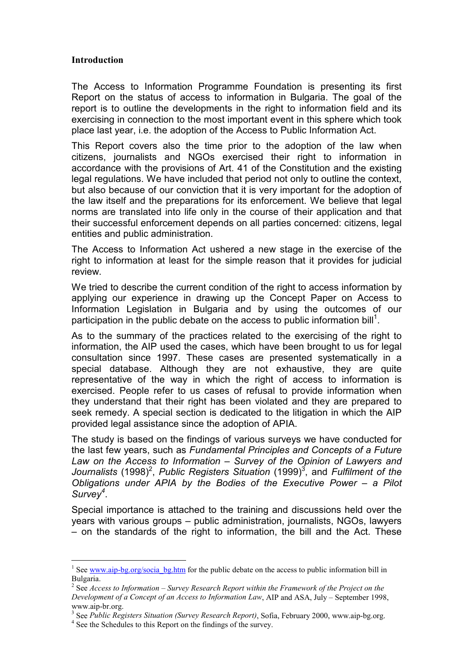#### **Introduction**

The Access to Information Programme Foundation is presenting its first Report on the status of access to information in Bulgaria. The goal of the report is to outline the developments in the right to information field and its exercising in connection to the most important event in this sphere which took place last year, i.e. the adoption of the Access to Public Information Act.

This Report covers also the time prior to the adoption of the law when citizens, journalists and NGOs exercised their right to information in accordance with the provisions of Art. 41 of the Constitution and the existing legal regulations. We have included that period not only to outline the context, but also because of our conviction that it is very important for the adoption of the law itself and the preparations for its enforcement. We believe that legal norms are translated into life only in the course of their application and that their successful enforcement depends on all parties concerned: citizens, legal entities and public administration.

The Access to Information Act ushered a new stage in the exercise of the right to information at least for the simple reason that it provides for judicial review.

We tried to describe the current condition of the right to access information by applying our experience in drawing up the Concept Paper on Access to Information Legislation in Bulgaria and by using the outcomes of our participation in the public debate on the access to public information bill<sup>1</sup>.

As to the summary of the practices related to the exercising of the right to information, the AIP used the cases, which have been brought to us for legal consultation since 1997. These cases are presented systematically in a special database. Although they are not exhaustive, they are quite representative of the way in which the right of access to information is exercised. People refer to us cases of refusal to provide information when they understand that their right has been violated and they are prepared to seek remedy. A special section is dedicated to the litigation in which the AIP provided legal assistance since the adoption of APIA.

The study is based on the findings of various surveys we have conducted for the last few years, such as *Fundamental Principles and Concepts of a Future Law on the Access to Information – Survey of the Opinion of Lawyers and*  Journalists (1998)<sup>2</sup>, Public Registers Situation (1999)<sup>3</sup>, and Fulfilment of the *Obligations under APIA by the Bodies of the Executive Power – a Pilot Survey<sup>4</sup>* .

Special importance is attached to the training and discussions held over the years with various groups – public administration, journalists, NGOs, lawyers – on the standards of the right to information, the bill and the Act. These

<sup>&</sup>lt;sup>1</sup> See www.aip-bg.org/socia\_bg.htm for the public debate on the access to public information bill in Bulgaria.

<sup>&</sup>lt;sup>2</sup> See *Access to Information – Survey Research Report within the Framework of the Project on the Development of a Concept of an Access to Information Law*, AIP and ASA, July – September 1998, www.aip-br.org.

<sup>&</sup>lt;sup>3</sup> See *Public Registers Situation (Survey Research Report)*, Sofia, February 2000, www.aip-bg.org. <sup>4</sup> See the Schedules to this Report on the findings of the survey.

<sup>&</sup>lt;sup>4</sup> See the Schedules to this Report on the findings of the survey.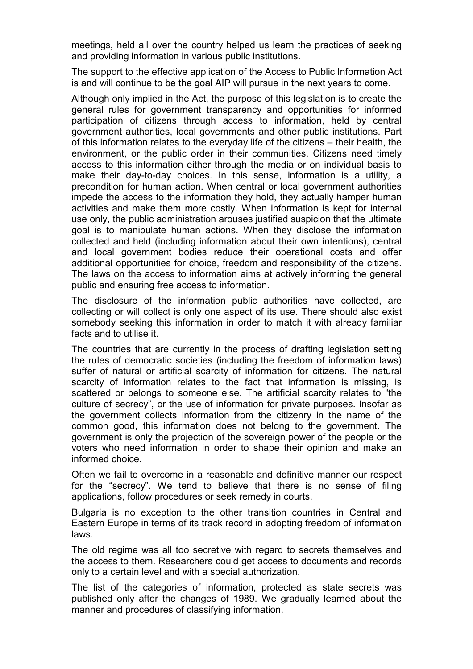meetings, held all over the country helped us learn the practices of seeking and providing information in various public institutions.

The support to the effective application of the Access to Public Information Act is and will continue to be the goal AIP will pursue in the next years to come.

Although only implied in the Act, the purpose of this legislation is to create the general rules for government transparency and opportunities for informed participation of citizens through access to information, held by central government authorities, local governments and other public institutions. Part of this information relates to the everyday life of the citizens – their health, the environment, or the public order in their communities. Citizens need timely access to this information either through the media or on individual basis to make their day-to-day choices. In this sense, information is a utility, a precondition for human action. When central or local government authorities impede the access to the information they hold, they actually hamper human activities and make them more costly. When information is kept for internal use only, the public administration arouses justified suspicion that the ultimate goal is to manipulate human actions. When they disclose the information collected and held (including information about their own intentions), central and local government bodies reduce their operational costs and offer additional opportunities for choice, freedom and responsibility of the citizens. The laws on the access to information aims at actively informing the general public and ensuring free access to information.

The disclosure of the information public authorities have collected, are collecting or will collect is only one aspect of its use. There should also exist somebody seeking this information in order to match it with already familiar facts and to utilise it.

The countries that are currently in the process of drafting legislation setting the rules of democratic societies (including the freedom of information laws) suffer of natural or artificial scarcity of information for citizens. The natural scarcity of information relates to the fact that information is missing, is scattered or belongs to someone else. The artificial scarcity relates to "the culture of secrecy", or the use of information for private purposes. Insofar as the government collects information from the citizenry in the name of the common good, this information does not belong to the government. The government is only the projection of the sovereign power of the people or the voters who need information in order to shape their opinion and make an informed choice.

Often we fail to overcome in a reasonable and definitive manner our respect for the "secrecy". We tend to believe that there is no sense of filing applications, follow procedures or seek remedy in courts.

Bulgaria is no exception to the other transition countries in Central and Eastern Europe in terms of its track record in adopting freedom of information laws.

The old regime was all too secretive with regard to secrets themselves and the access to them. Researchers could get access to documents and records only to a certain level and with a special authorization.

The list of the categories of information, protected as state secrets was published only after the changes of 1989. We gradually learned about the manner and procedures of classifying information.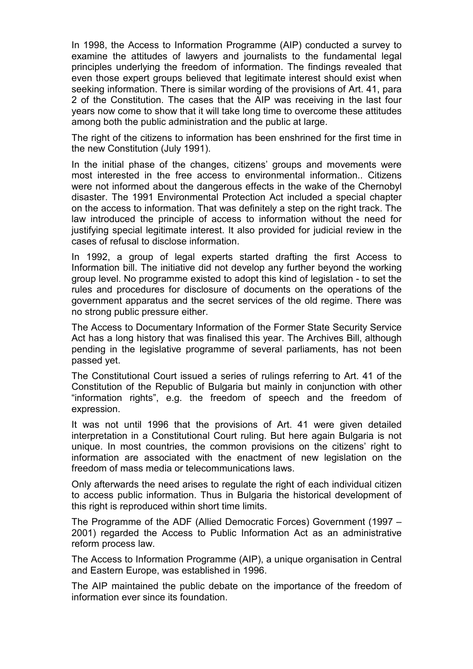In 1998, the Access to Information Programme (AIP) conducted a survey to examine the attitudes of lawyers and journalists to the fundamental legal principles underlying the freedom of information. The findings revealed that even those expert groups believed that legitimate interest should exist when seeking information. There is similar wording of the provisions of Art. 41, para 2 of the Constitution. The cases that the AIP was receiving in the last four years now come to show that it will take long time to overcome these attitudes among both the public administration and the public at large.

The right of the citizens to information has been enshrined for the first time in the new Constitution (July 1991).

In the initial phase of the changes, citizens' groups and movements were most interested in the free access to environmental information.. Citizens were not informed about the dangerous effects in the wake of the Chernobyl disaster. The 1991 Environmental Protection Act included a special chapter on the access to information. That was definitely a step on the right track. The law introduced the principle of access to information without the need for justifying special legitimate interest. It also provided for judicial review in the cases of refusal to disclose information.

In 1992, a group of legal experts started drafting the first Access to Information bill. The initiative did not develop any further beyond the working group level. No programme existed to adopt this kind of legislation - to set the rules and procedures for disclosure of documents on the operations of the government apparatus and the secret services of the old regime. There was no strong public pressure either.

The Access to Documentary Information of the Former State Security Service Act has a long history that was finalised this year. The Archives Bill, although pending in the legislative programme of several parliaments, has not been passed yet.

The Constitutional Court issued a series of rulings referring to Art. 41 of the Constitution of the Republic of Bulgaria but mainly in conjunction with other "information rights", e.g. the freedom of speech and the freedom of expression.

It was not until 1996 that the provisions of Art. 41 were given detailed interpretation in a Constitutional Court ruling. But here again Bulgaria is not unique. In most countries, the common provisions on the citizens' right to information are associated with the enactment of new legislation on the freedom of mass media or telecommunications laws.

Only afterwards the need arises to regulate the right of each individual citizen to access public information. Thus in Bulgaria the historical development of this right is reproduced within short time limits.

The Programme of the ADF (Allied Democratic Forces) Government (1997 – 2001) regarded the Access to Public Information Act as an administrative reform process law.

The Access to Information Programme (AIP), a unique organisation in Central and Eastern Europe, was established in 1996.

The AIP maintained the public debate on the importance of the freedom of information ever since its foundation.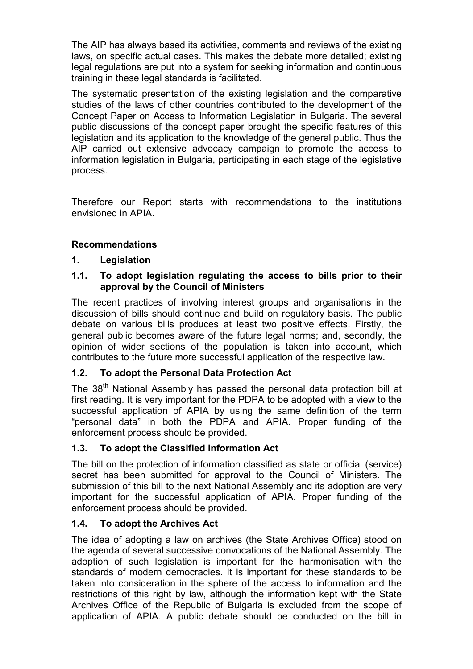The AIP has always based its activities, comments and reviews of the existing laws, on specific actual cases. This makes the debate more detailed; existing legal regulations are put into a system for seeking information and continuous training in these legal standards is facilitated.

The systematic presentation of the existing legislation and the comparative studies of the laws of other countries contributed to the development of the Concept Paper on Access to Information Legislation in Bulgaria. The several public discussions of the concept paper brought the specific features of this legislation and its application to the knowledge of the general public. Thus the AIP carried out extensive advocacy campaign to promote the access to information legislation in Bulgaria, participating in each stage of the legislative process.

Therefore our Report starts with recommendations to the institutions envisioned in APIA.

## **Recommendations**

### **1. Legislation**

#### **1.1. To adopt legislation regulating the access to bills prior to their approval by the Council of Ministers**

The recent practices of involving interest groups and organisations in the discussion of bills should continue and build on regulatory basis. The public debate on various bills produces at least two positive effects. Firstly, the general public becomes aware of the future legal norms; and, secondly, the opinion of wider sections of the population is taken into account, which contributes to the future more successful application of the respective law.

#### **1.2. To adopt the Personal Data Protection Act**

The 38<sup>th</sup> National Assembly has passed the personal data protection bill at first reading. It is very important for the PDPA to be adopted with a view to the successful application of APIA by using the same definition of the term "personal data" in both the PDPA and APIA. Proper funding of the enforcement process should be provided.

## **1.3. To adopt the Classified Information Act**

The bill on the protection of information classified as state or official (service) secret has been submitted for approval to the Council of Ministers. The submission of this bill to the next National Assembly and its adoption are very important for the successful application of APIA. Proper funding of the enforcement process should be provided.

#### **1.4. To adopt the Archives Act**

The idea of adopting a law on archives (the State Archives Office) stood on the agenda of several successive convocations of the National Assembly. The adoption of such legislation is important for the harmonisation with the standards of modern democracies. It is important for these standards to be taken into consideration in the sphere of the access to information and the restrictions of this right by law, although the information kept with the State Archives Office of the Republic of Bulgaria is excluded from the scope of application of APIA. A public debate should be conducted on the bill in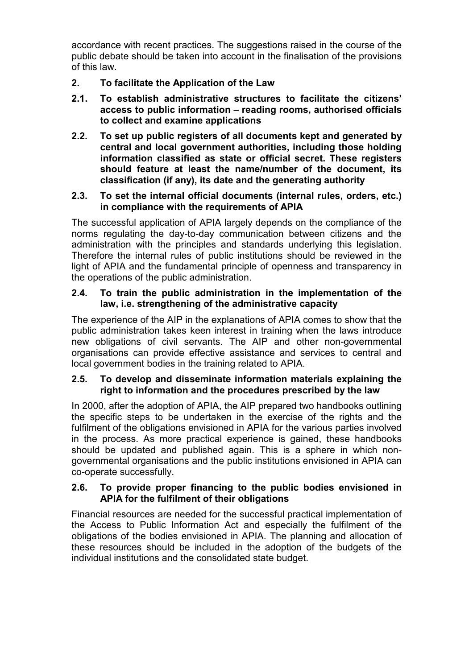accordance with recent practices. The suggestions raised in the course of the public debate should be taken into account in the finalisation of the provisions of this law.

- **2. To facilitate the Application of the Law**
- **2.1. To establish administrative structures to facilitate the citizens' access to public information – reading rooms, authorised officials to collect and examine applications**
- **2.2. To set up public registers of all documents kept and generated by central and local government authorities, including those holding information classified as state or official secret. These registers should feature at least the name/number of the document, its classification (if any), its date and the generating authority**

### **2.3. To set the internal official documents (internal rules, orders, etc.) in compliance with the requirements of APIA**

The successful application of APIA largely depends on the compliance of the norms regulating the day-to-day communication between citizens and the administration with the principles and standards underlying this legislation. Therefore the internal rules of public institutions should be reviewed in the light of APIA and the fundamental principle of openness and transparency in the operations of the public administration.

### **2.4. To train the public administration in the implementation of the law, i.e. strengthening of the administrative capacity**

The experience of the AIP in the explanations of APIA comes to show that the public administration takes keen interest in training when the laws introduce new obligations of civil servants. The AIP and other non-governmental organisations can provide effective assistance and services to central and local government bodies in the training related to APIA.

### **2.5. To develop and disseminate information materials explaining the right to information and the procedures prescribed by the law**

In 2000, after the adoption of APIA, the AIP prepared two handbooks outlining the specific steps to be undertaken in the exercise of the rights and the fulfilment of the obligations envisioned in APIA for the various parties involved in the process. As more practical experience is gained, these handbooks should be updated and published again. This is a sphere in which nongovernmental organisations and the public institutions envisioned in APIA can co-operate successfully.

### **2.6. To provide proper financing to the public bodies envisioned in APIA for the fulfilment of their obligations**

Financial resources are needed for the successful practical implementation of the Access to Public Information Act and especially the fulfilment of the obligations of the bodies envisioned in APIA. The planning and allocation of these resources should be included in the adoption of the budgets of the individual institutions and the consolidated state budget.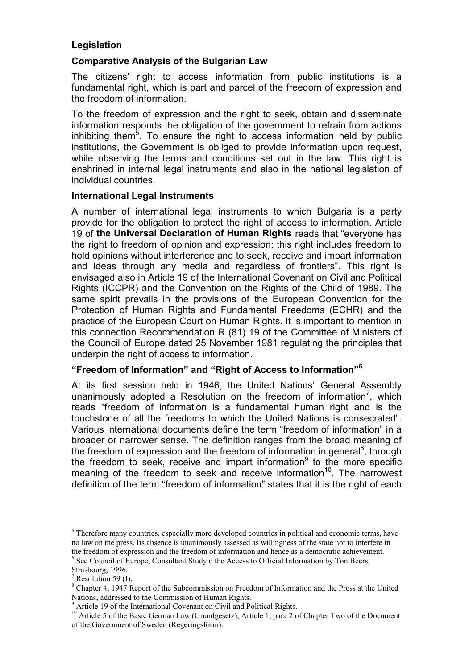## **Legislation**

## **Comparative Analysis of the Bulgarian Law**

The citizens' right to access information from public institutions is a fundamental right, which is part and parcel of the freedom of expression and the freedom of information.

To the freedom of expression and the right to seek, obtain and disseminate information responds the obligation of the government to refrain from actions inhibiting them<sup>5</sup>. To ensure the right to access information held by public institutions, the Government is obliged to provide information upon request, while observing the terms and conditions set out in the law. This right is enshrined in internal legal instruments and also in the national legislation of individual countries.

#### **International Legal Instruments**

A number of international legal instruments to which Bulgaria is a party provide for the obligation to protect the right of access to information. Article 19 of **the Universal Declaration of Human Rights** reads that "everyone has the right to freedom of opinion and expression; this right includes freedom to hold opinions without interference and to seek, receive and impart information and ideas through any media and regardless of frontiers". This right is envisaged also in Article 19 of the International Covenant on Civil and Political Rights (ICCPR) and the Convention on the Rights of the Child of 1989. The same spirit prevails in the provisions of the European Convention for the Protection of Human Rights and Fundamental Freedoms (ECHR) and the practice of the European Court on Human Rights. It is important to mention in this connection Recommendation R (81) 19 of the Committee of Ministers of the Council of Europe dated 25 November 1981 regulating the principles that underpin the right of access to information.

## **"Freedom of Information" and "Right of Access to Information"6**

At its first session held in 1946, the United Nations' General Assembly unanimously adopted a Resolution on the freedom of information<sup>7</sup>, which reads "freedom of information is a fundamental human right and is the touchstone of all the freedoms to which the United Nations is consecrated". Various international documents define the term "freedom of information" in a broader or narrower sense. The definition ranges from the broad meaning of the freedom of expression and the freedom of information in general<sup>8</sup>, through the freedom to seek, receive and impart information<sup>9</sup> to the more specific meaning of the freedom to seek and receive information<sup>10</sup>. The narrowest definition of the term "freedom of information" states that it is the right of each

<sup>&</sup>lt;sup>5</sup> Therefore many countries, especially more developed countries in political and economic terms, have no law on the press. Its absence is unanimously assessed as willingness of the state not to interfere in the freedom of expression and the freedom of information and hence as a democratic achievement. <sup>6</sup> See Council of Europe, Consultant Study o the Access to Official Information by Ton Beers,

Strasbourg, 1996.

 $7$  Resolution 59 (I).

<sup>&</sup>lt;sup>8</sup> Chapter 4, 1947 Report of the Subcommission on Freedom of Information and the Press at the United Nations, addressed to the Commission of Human Rights.

<sup>&</sup>lt;sup>9</sup> Article 19 of the International Covenant on Civil and Political Rights.

<sup>&</sup>lt;sup>10</sup> Article 5 of the Basic German Law (Grundgesetz), Article 1, para 2 of Chapter Two of the Document of the Government of Sweden (Regeringsform).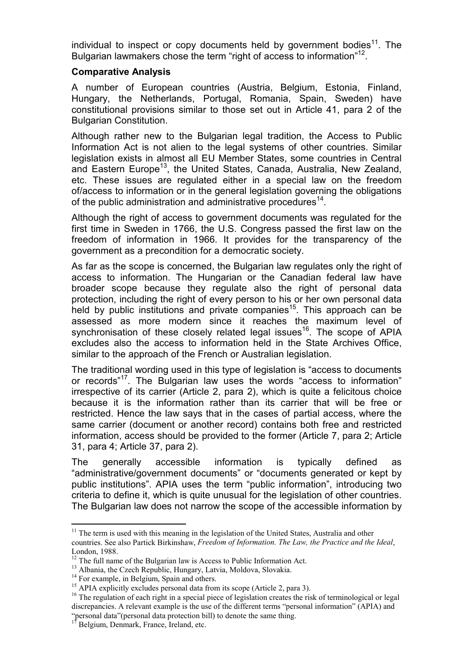individual to inspect or copy documents held by government bodies<sup>11</sup>. The Bulgarian lawmakers chose the term "right of access to information"<sup>12</sup>.

#### **Comparative Analysis**

A number of European countries (Austria, Belgium, Estonia, Finland, Hungary, the Netherlands, Portugal, Romania, Spain, Sweden) have constitutional provisions similar to those set out in Article 41, para 2 of the Bulgarian Constitution.

Although rather new to the Bulgarian legal tradition, the Access to Public Information Act is not alien to the legal systems of other countries. Similar legislation exists in almost all EU Member States, some countries in Central and Eastern Europe<sup>13</sup>, the United States, Canada, Australia, New Zealand, etc. These issues are regulated either in a special law on the freedom of/access to information or in the general legislation governing the obligations of the public administration and administrative procedures<sup>14</sup>.

Although the right of access to government documents was regulated for the first time in Sweden in 1766, the U.S. Congress passed the first law on the freedom of information in 1966. It provides for the transparency of the government as a precondition for a democratic society.

As far as the scope is concerned, the Bulgarian law regulates only the right of access to information. The Hungarian or the Canadian federal law have broader scope because they regulate also the right of personal data protection, including the right of every person to his or her own personal data held by public institutions and private companies<sup>15</sup>. This approach can be assessed as more modern since it reaches the maximum level of synchronisation of these closely related legal issues<sup>16</sup>. The scope of APIA excludes also the access to information held in the State Archives Office, similar to the approach of the French or Australian legislation.

The traditional wording used in this type of legislation is "access to documents or records"17. The Bulgarian law uses the words "access to information" irrespective of its carrier (Article 2, para 2), which is quite a felicitous choice because it is the information rather than its carrier that will be free or restricted. Hence the law says that in the cases of partial access, where the same carrier (document or another record) contains both free and restricted information, access should be provided to the former (Article 7, para 2; Article 31, para 4; Article 37, para 2).

The generally accessible information is typically defined as "administrative/government documents" or "documents generated or kept by public institutions". APIA uses the term "public information", introducing two criteria to define it, which is quite unusual for the legislation of other countries. The Bulgarian law does not narrow the scope of the accessible information by

<sup>&</sup>lt;sup>11</sup> The term is used with this meaning in the legislation of the United States, Australia and other countries. See also Partick Birkinshaw, *Freedom of Information. The Law, the Practice and the Ideal*, London, 1988.

<sup>&</sup>lt;sup>12</sup> The full name of the Bulgarian law is Access to Public Information Act.

<sup>&</sup>lt;sup>13</sup> Albania, the Czech Republic, Hungary, Latvia, Moldova, Slovakia.

<sup>&</sup>lt;sup>14</sup> For example, in Belgium, Spain and others.

<sup>&</sup>lt;sup>15</sup> APIA explicitly excludes personal data from its scope (Article 2, para 3).

<sup>&</sup>lt;sup>16</sup> The regulation of each right in a special piece of legislation creates the risk of terminological or legal discrepancies. A relevant example is the use of the different terms "personal information" (APIA) and "personal data" (personal data protection bill) to denote the same thing.

<sup>17</sup> Belgium, Denmark, France, Ireland, etc.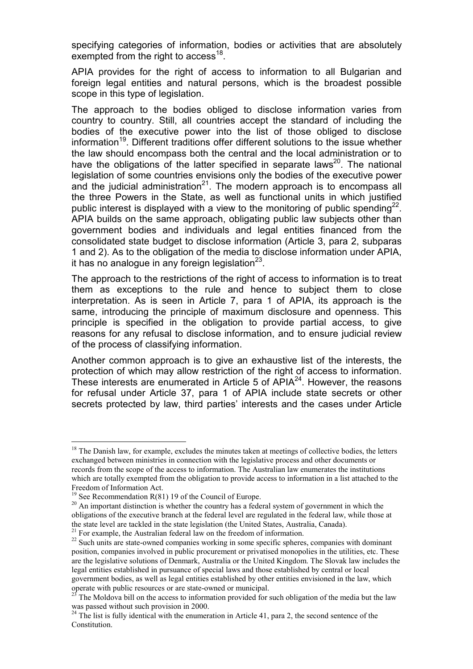specifying categories of information, bodies or activities that are absolutely exempted from the right to  $access^{18}$ .

APIA provides for the right of access to information to all Bulgarian and foreign legal entities and natural persons, which is the broadest possible scope in this type of legislation.

The approach to the bodies obliged to disclose information varies from country to country. Still, all countries accept the standard of including the bodies of the executive power into the list of those obliged to disclose information<sup>19</sup>. Different traditions offer different solutions to the issue whether the law should encompass both the central and the local administration or to have the obligations of the latter specified in separate laws<sup>20</sup>. The national legislation of some countries envisions only the bodies of the executive power and the judicial administration<sup>21</sup>. The modern approach is to encompass all the three Powers in the State, as well as functional units in which justified public interest is displayed with a view to the monitoring of public spending<sup>22</sup>. APIA builds on the same approach, obligating public law subjects other than government bodies and individuals and legal entities financed from the consolidated state budget to disclose information (Article 3, para 2, subparas 1 and 2). As to the obligation of the media to disclose information under APIA, it has no analogue in any foreign legislation $2^3$ .

The approach to the restrictions of the right of access to information is to treat them as exceptions to the rule and hence to subject them to close interpretation. As is seen in Article 7, para 1 of APIA, its approach is the same, introducing the principle of maximum disclosure and openness. This principle is specified in the obligation to provide partial access, to give reasons for any refusal to disclose information, and to ensure judicial review of the process of classifying information.

Another common approach is to give an exhaustive list of the interests, the protection of which may allow restriction of the right of access to information. These interests are enumerated in Article 5 of  $APIA<sup>24</sup>$ . However, the reasons for refusal under Article 37, para 1 of APIA include state secrets or other secrets protected by law, third parties' interests and the cases under Article

<sup>&</sup>lt;sup>18</sup> The Danish law, for example, excludes the minutes taken at meetings of collective bodies, the letters exchanged between ministries in connection with the legislative process and other documents or records from the scope of the access to information. The Australian law enumerates the institutions which are totally exempted from the obligation to provide access to information in a list attached to the Freedom of Information Act.

<sup>&</sup>lt;sup>19</sup> See Recommendation  $R(81)$  19 of the Council of Europe.

 $20$  An important distinction is whether the country has a federal system of government in which the obligations of the executive branch at the federal level are regulated in the federal law, while those at the state level are tackled in the state legislation (the United States, Australia, Canada).

<sup>&</sup>lt;sup>21</sup> For example, the Australian federal law on the freedom of information.

<sup>&</sup>lt;sup>22</sup> Such units are state-owned companies working in some specific spheres, companies with dominant position, companies involved in public procurement or privatised monopolies in the utilities, etc. These are the legislative solutions of Denmark, Australia or the United Kingdom. The Slovak law includes the legal entities established in pursuance of special laws and those established by central or local government bodies, as well as legal entities established by other entities envisioned in the law, which operate with public resources or are state-owned or municipal.

The Moldova bill on the access to information provided for such obligation of the media but the law was passed without such provision in 2000.

 $24$ <sup>24</sup> The list is fully identical with the enumeration in Article 41, para 2, the second sentence of the Constitution.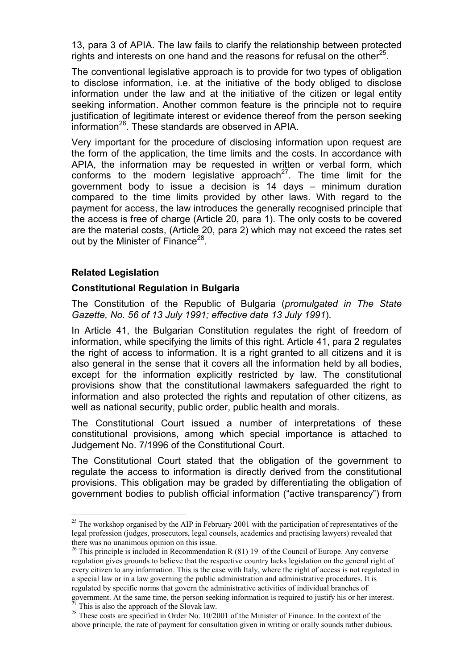13, para 3 of APIA. The law fails to clarify the relationship between protected rights and interests on one hand and the reasons for refusal on the other<sup>25</sup>.

The conventional legislative approach is to provide for two types of obligation to disclose information, i.e. at the initiative of the body obliged to disclose information under the law and at the initiative of the citizen or legal entity seeking information. Another common feature is the principle not to require justification of legitimate interest or evidence thereof from the person seeking information $^{26}$ . These standards are observed in APIA.

Very important for the procedure of disclosing information upon request are the form of the application, the time limits and the costs. In accordance with APIA, the information may be requested in written or verbal form, which conforms to the modern legislative approach<sup>27</sup>. The time limit for the government body to issue a decision is 14 days – minimum duration compared to the time limits provided by other laws. With regard to the payment for access, the law introduces the generally recognised principle that the access is free of charge (Article 20, para 1). The only costs to be covered are the material costs, (Article 20, para 2) which may not exceed the rates set out by the Minister of Finance<sup>28</sup>.

### **Related Legislation**

 $\overline{a}$ 

#### **Constitutional Regulation in Bulgaria**

The Constitution of the Republic of Bulgaria (*promulgated in The State Gazette, No. 56 of 13 July 1991; effective date 13 July 1991*).

In Article 41, the Bulgarian Constitution regulates the right of freedom of information, while specifying the limits of this right. Article 41, para 2 regulates the right of access to information. It is a right granted to all citizens and it is also general in the sense that it covers all the information held by all bodies, except for the information explicitly restricted by law. The constitutional provisions show that the constitutional lawmakers safeguarded the right to information and also protected the rights and reputation of other citizens, as well as national security, public order, public health and morals.

The Constitutional Court issued a number of interpretations of these constitutional provisions, among which special importance is attached to Judgement No. 7/1996 of the Constitutional Court.

The Constitutional Court stated that the obligation of the government to regulate the access to information is directly derived from the constitutional provisions. This obligation may be graded by differentiating the obligation of government bodies to publish official information ("active transparency") from

<sup>&</sup>lt;sup>25</sup> The workshop organised by the AIP in February 2001 with the participation of representatives of the legal profession (judges, prosecutors, legal counsels, academics and practising lawyers) revealed that there was no unanimous opinion on this issue.

<sup>&</sup>lt;sup>26</sup> This principle is included in Recommendation R (81) 19 of the Council of Europe. Any converse regulation gives grounds to believe that the respective country lacks legislation on the general right of every citizen to any information. This is the case with Italy, where the right of access is not regulated in a special law or in a law governing the public administration and administrative procedures. It is regulated by specific norms that govern the administrative activities of individual branches of government. At the same time, the person seeking information is required to justify his or her interest. This is also the approach of the Slovak law.

 $28$  These costs are specified in Order No. 10/2001 of the Minister of Finance. In the context of the above principle, the rate of payment for consultation given in writing or orally sounds rather dubious.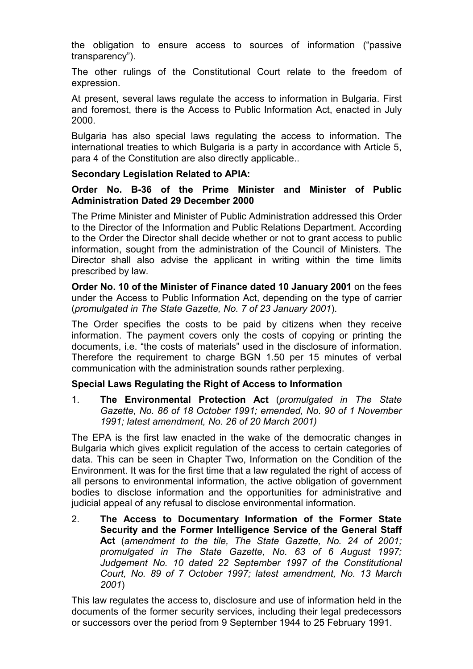the obligation to ensure access to sources of information ("passive transparency").

The other rulings of the Constitutional Court relate to the freedom of expression.

At present, several laws regulate the access to information in Bulgaria. First and foremost, there is the Access to Public Information Act, enacted in July 2000.

Bulgaria has also special laws regulating the access to information. The international treaties to which Bulgaria is a party in accordance with Article 5, para 4 of the Constitution are also directly applicable..

### **Secondary Legislation Related to APIA:**

#### **Order No. B-36 of the Prime Minister and Minister of Public Administration Dated 29 December 2000**

The Prime Minister and Minister of Public Administration addressed this Order to the Director of the Information and Public Relations Department. According to the Order the Director shall decide whether or not to grant access to public information, sought from the administration of the Council of Ministers. The Director shall also advise the applicant in writing within the time limits prescribed by law.

**Order No. 10 of the Minister of Finance dated 10 January 2001** on the fees under the Access to Public Information Act, depending on the type of carrier (*promulgated in The State Gazette, No. 7 of 23 January 2001*).

The Order specifies the costs to be paid by citizens when they receive information. The payment covers only the costs of copying or printing the documents, i.e. "the costs of materials" used in the disclosure of information. Therefore the requirement to charge BGN 1.50 per 15 minutes of verbal communication with the administration sounds rather perplexing.

## **Special Laws Regulating the Right of Access to Information**

1. **The Environmental Protection Act** (*promulgated in The State Gazette, No. 86 of 18 October 1991; emended, No. 90 of 1 November 1991; latest amendment, No. 26 of 20 March 2001)*

The EPA is the first law enacted in the wake of the democratic changes in Bulgaria which gives explicit regulation of the access to certain categories of data. This can be seen in Chapter Two, Information on the Condition of the Environment. It was for the first time that a law regulated the right of access of all persons to environmental information, the active obligation of government bodies to disclose information and the opportunities for administrative and judicial appeal of any refusal to disclose environmental information.

2. **The Access to Documentary Information of the Former State Security and the Former Intelligence Service of the General Staff Act** (*amendment to the tile, The State Gazette, No. 24 of 2001; promulgated in The State Gazette, No. 63 of 6 August 1997; Judgement No. 10 dated 22 September 1997 of the Constitutional Court, No. 89 of 7 October 1997; latest amendment, No. 13 March 2001*)

This law regulates the access to, disclosure and use of information held in the documents of the former security services, including their legal predecessors or successors over the period from 9 September 1944 to 25 February 1991.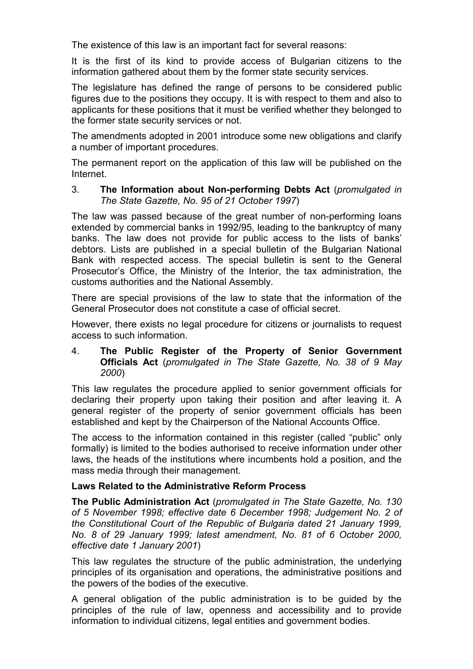The existence of this law is an important fact for several reasons:

It is the first of its kind to provide access of Bulgarian citizens to the information gathered about them by the former state security services.

The legislature has defined the range of persons to be considered public figures due to the positions they occupy. It is with respect to them and also to applicants for these positions that it must be verified whether they belonged to the former state security services or not.

The amendments adopted in 2001 introduce some new obligations and clarify a number of important procedures.

The permanent report on the application of this law will be published on the Internet.

#### 3. **The Information about Non-performing Debts Act** (*promulgated in The State Gazette, No. 95 of 21 October 1997*)

The law was passed because of the great number of non-performing loans extended by commercial banks in 1992/95, leading to the bankruptcy of many banks. The law does not provide for public access to the lists of banks' debtors. Lists are published in a special bulletin of the Bulgarian National Bank with respected access. The special bulletin is sent to the General Prosecutor's Office, the Ministry of the Interior, the tax administration, the customs authorities and the National Assembly.

There are special provisions of the law to state that the information of the General Prosecutor does not constitute a case of official secret.

However, there exists no legal procedure for citizens or journalists to request access to such information.

#### 4. **The Public Register of the Property of Senior Government Officials Act** (*promulgated in The State Gazette, No. 38 of 9 May 2000*)

This law regulates the procedure applied to senior government officials for declaring their property upon taking their position and after leaving it. A general register of the property of senior government officials has been established and kept by the Chairperson of the National Accounts Office.

The access to the information contained in this register (called "public" only formally) is limited to the bodies authorised to receive information under other laws, the heads of the institutions where incumbents hold a position, and the mass media through their management.

## **Laws Related to the Administrative Reform Process**

**The Public Administration Act** (*promulgated in The State Gazette, No. 130 of 5 November 1998; effective date 6 December 1998; Judgement No. 2 of the Constitutional Court of the Republic of Bulgaria dated 21 January 1999, No. 8 of 29 January 1999; latest amendment, No. 81 of 6 October 2000, effective date 1 January 2001*)

This law regulates the structure of the public administration, the underlying principles of its organisation and operations, the administrative positions and the powers of the bodies of the executive.

A general obligation of the public administration is to be guided by the principles of the rule of law, openness and accessibility and to provide information to individual citizens, legal entities and government bodies.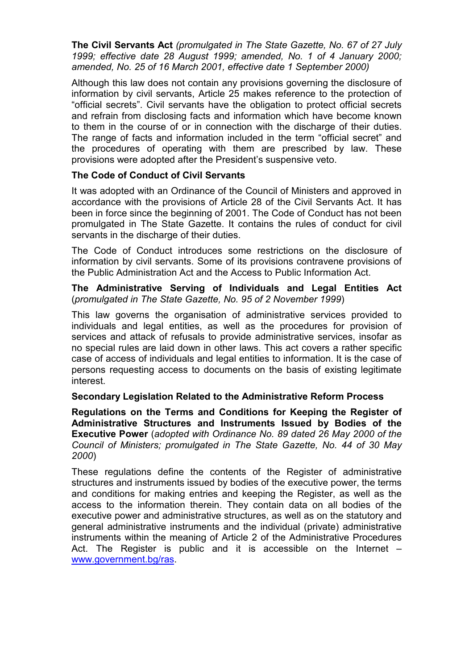**The Civil Servants Act** *(promulgated in The State Gazette, No. 67 of 27 July 1999; effective date 28 August 1999; amended, No. 1 of 4 January 2000; amended, No. 25 of 16 March 2001, effective date 1 September 2000)*

Although this law does not contain any provisions governing the disclosure of information by civil servants, Article 25 makes reference to the protection of "official secrets". Civil servants have the obligation to protect official secrets and refrain from disclosing facts and information which have become known to them in the course of or in connection with the discharge of their duties. The range of facts and information included in the term "official secret" and the procedures of operating with them are prescribed by law. These provisions were adopted after the President's suspensive veto.

#### **The Code of Conduct of Civil Servants**

It was adopted with an Ordinance of the Council of Ministers and approved in accordance with the provisions of Article 28 of the Civil Servants Act. It has been in force since the beginning of 2001. The Code of Conduct has not been promulgated in The State Gazette. It contains the rules of conduct for civil servants in the discharge of their duties.

The Code of Conduct introduces some restrictions on the disclosure of information by civil servants. Some of its provisions contravene provisions of the Public Administration Act and the Access to Public Information Act.

#### **The Administrative Serving of Individuals and Legal Entities Act**  (*promulgated in The State Gazette, No. 95 of 2 November 1999*)

This law governs the organisation of administrative services provided to individuals and legal entities, as well as the procedures for provision of services and attack of refusals to provide administrative services, insofar as no special rules are laid down in other laws. This act covers a rather specific case of access of individuals and legal entities to information. It is the case of persons requesting access to documents on the basis of existing legitimate interest.

#### **Secondary Legislation Related to the Administrative Reform Process**

**Regulations on the Terms and Conditions for Keeping the Register of Administrative Structures and Instruments Issued by Bodies of the Executive Power** (*adopted with Ordinance No. 89 dated 26 May 2000 of the Council of Ministers; promulgated in The State Gazette, No. 44 of 30 May 2000*)

These regulations define the contents of the Register of administrative structures and instruments issued by bodies of the executive power, the terms and conditions for making entries and keeping the Register, as well as the access to the information therein. They contain data on all bodies of the executive power and administrative structures, as well as on the statutory and general administrative instruments and the individual (private) administrative instruments within the meaning of Article 2 of the Administrative Procedures Act. The Register is public and it is accessible on the Internet – www.government.bg/ras.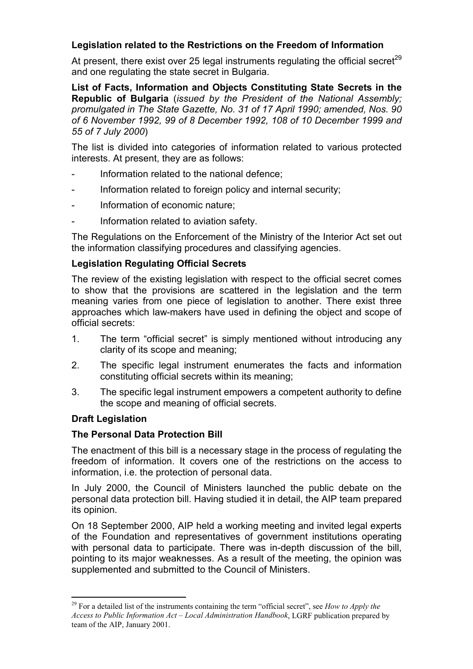## **Legislation related to the Restrictions on the Freedom of Information**

At present, there exist over 25 legal instruments regulating the official secret<sup>29</sup> and one regulating the state secret in Bulgaria.

**List of Facts, Information and Objects Constituting State Secrets in the Republic of Bulgaria** (*issued by the President of the National Assembly; promulgated in The State Gazette, No. 31 of 17 April 1990; amended, Nos. 90 of 6 November 1992, 99 of 8 December 1992, 108 of 10 December 1999 and 55 of 7 July 2000*)

The list is divided into categories of information related to various protected interests. At present, they are as follows:

- Information related to the national defence;
- Information related to foreign policy and internal security;
- Information of economic nature;
- Information related to aviation safety.

The Regulations on the Enforcement of the Ministry of the Interior Act set out the information classifying procedures and classifying agencies.

### **Legislation Regulating Official Secrets**

The review of the existing legislation with respect to the official secret comes to show that the provisions are scattered in the legislation and the term meaning varies from one piece of legislation to another. There exist three approaches which law-makers have used in defining the object and scope of official secrets:

- 1. The term "official secret" is simply mentioned without introducing any clarity of its scope and meaning;
- 2. The specific legal instrument enumerates the facts and information constituting official secrets within its meaning;
- 3. The specific legal instrument empowers a competent authority to define the scope and meaning of official secrets.

## **Draft Legislation**

 $\overline{a}$ 

#### **The Personal Data Protection Bill**

The enactment of this bill is a necessary stage in the process of regulating the freedom of information. It covers one of the restrictions on the access to information, i.e. the protection of personal data.

In July 2000, the Council of Ministers launched the public debate on the personal data protection bill. Having studied it in detail, the AIP team prepared its opinion.

On 18 September 2000, AIP held a working meeting and invited legal experts of the Foundation and representatives of government institutions operating with personal data to participate. There was in-depth discussion of the bill, pointing to its major weaknesses. As a result of the meeting, the opinion was supplemented and submitted to the Council of Ministers.

<sup>29</sup> For a detailed list of the instruments containing the term "official secret", see *How to Apply the Access to Public Information Act – Local Administration Handbook*, LGRF publication prepared by team of the AIP, January 2001.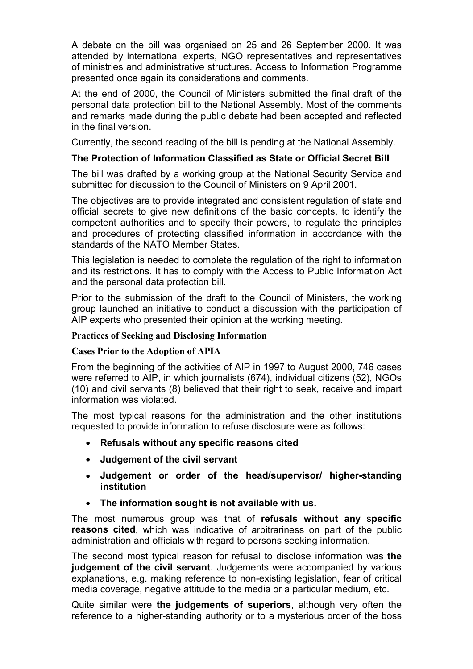A debate on the bill was organised on 25 and 26 September 2000. It was attended by international experts, NGO representatives and representatives of ministries and administrative structures. Access to Information Programme presented once again its considerations and comments.

At the end of 2000, the Council of Ministers submitted the final draft of the personal data protection bill to the National Assembly. Most of the comments and remarks made during the public debate had been accepted and reflected in the final version.

Currently, the second reading of the bill is pending at the National Assembly.

### **The Protection of Information Classified as State or Official Secret Bill**

The bill was drafted by a working group at the National Security Service and submitted for discussion to the Council of Ministers on 9 April 2001.

The objectives are to provide integrated and consistent regulation of state and official secrets to give new definitions of the basic concepts, to identify the competent authorities and to specify their powers, to regulate the principles and procedures of protecting classified information in accordance with the standards of the NATO Member States.

This legislation is needed to complete the regulation of the right to information and its restrictions. It has to comply with the Access to Public Information Act and the personal data protection bill.

Prior to the submission of the draft to the Council of Ministers, the working group launched an initiative to conduct a discussion with the participation of AIP experts who presented their opinion at the working meeting.

#### **Practices of Seeking and Disclosing Information**

#### **Cases Prior to the Adoption of APIA**

From the beginning of the activities of AIP in 1997 to August 2000, 746 cases were referred to AIP, in which journalists (674), individual citizens (52), NGOs (10) and civil servants (8) believed that their right to seek, receive and impart information was violated.

The most typical reasons for the administration and the other institutions requested to provide information to refuse disclosure were as follows:

- **Refusals without any specific reasons cited**
- **Judgement of the civil servant**
- **Judgement or order of the head/supervisor/ higher-standing institution**
- **The information sought is not available with us.**

The most numerous group was that of **refusals without any** s**pecific reasons cited**, which was indicative of arbitrariness on part of the public administration and officials with regard to persons seeking information.

The second most typical reason for refusal to disclose information was **the judgement of the civil servant**. Judgements were accompanied by various explanations, e.g. making reference to non-existing legislation, fear of critical media coverage, negative attitude to the media or a particular medium, etc.

Quite similar were **the judgements of superiors**, although very often the reference to a higher-standing authority or to a mysterious order of the boss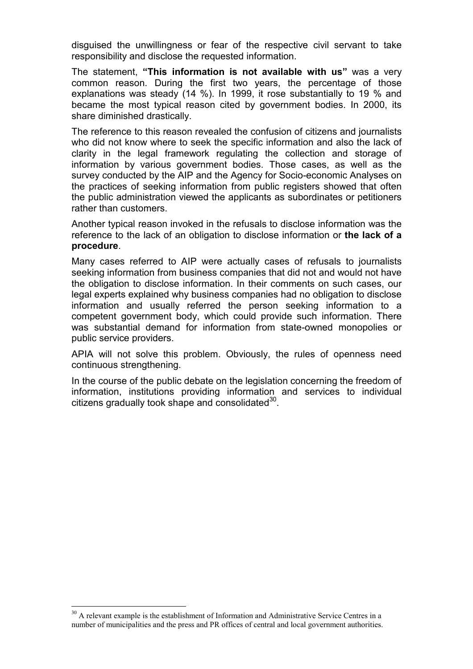disguised the unwillingness or fear of the respective civil servant to take responsibility and disclose the requested information.

The statement, **"This information is not available with us"** was a very common reason. During the first two years, the percentage of those explanations was steady (14 %). In 1999, it rose substantially to 19 % and became the most typical reason cited by government bodies. In 2000, its share diminished drastically.

The reference to this reason revealed the confusion of citizens and journalists who did not know where to seek the specific information and also the lack of clarity in the legal framework regulating the collection and storage of information by various government bodies. Those cases, as well as the survey conducted by the AIP and the Agency for Socio-economic Analyses on the practices of seeking information from public registers showed that often the public administration viewed the applicants as subordinates or petitioners rather than customers.

Another typical reason invoked in the refusals to disclose information was the reference to the lack of an obligation to disclose information or **the lack of a procedure**.

Many cases referred to AIP were actually cases of refusals to journalists seeking information from business companies that did not and would not have the obligation to disclose information. In their comments on such cases, our legal experts explained why business companies had no obligation to disclose information and usually referred the person seeking information to a competent government body, which could provide such information. There was substantial demand for information from state-owned monopolies or public service providers.

APIA will not solve this problem. Obviously, the rules of openness need continuous strengthening.

In the course of the public debate on the legislation concerning the freedom of information, institutions providing information and services to individual citizens gradually took shape and consolidated<sup>30</sup>.

 $30$  A relevant example is the establishment of Information and Administrative Service Centres in a number of municipalities and the press and PR offices of central and local government authorities.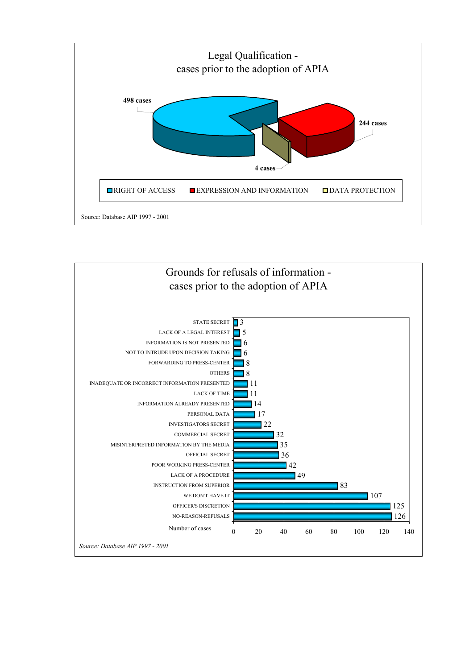

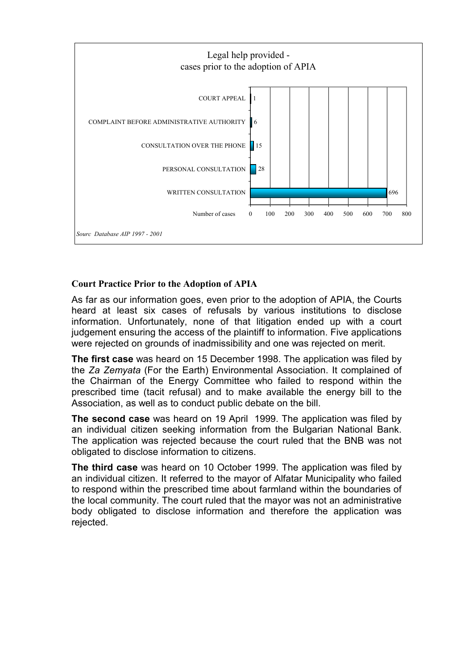

#### **Court Practice Prior to the Adoption of APIA**

As far as our information goes, even prior to the adoption of APIA, the Courts heard at least six cases of refusals by various institutions to disclose information. Unfortunately, none of that litigation ended up with a court judgement ensuring the access of the plaintiff to information. Five applications were rejected on grounds of inadmissibility and one was rejected on merit.

**The first case** was heard on 15 December 1998. The application was filed by the *Za Zemyata* (For the Earth) Environmental Association. It complained of the Chairman of the Energy Committee who failed to respond within the prescribed time (tacit refusal) and to make available the energy bill to the Association, as well as to conduct public debate on the bill.

**The second case** was heard on 19 April 1999. The application was filed by an individual citizen seeking information from the Bulgarian National Bank. The application was rejected because the court ruled that the BNB was not obligated to disclose information to citizens.

**The third case** was heard on 10 October 1999. The application was filed by an individual citizen. It referred to the mayor of Alfatar Municipality who failed to respond within the prescribed time about farmland within the boundaries of the local community. The court ruled that the mayor was not an administrative body obligated to disclose information and therefore the application was rejected.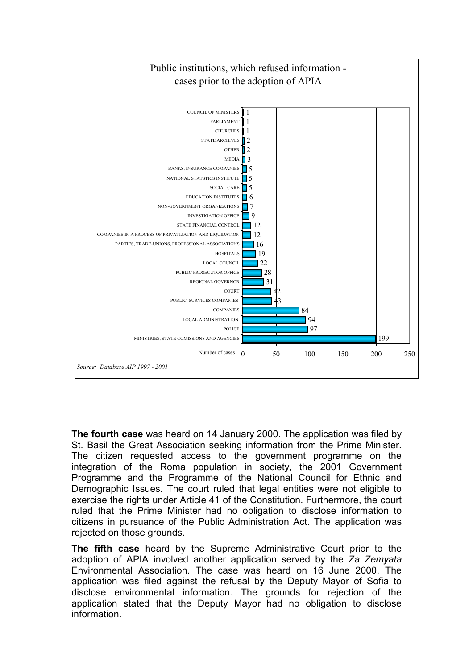

**The fourth case** was heard on 14 January 2000. The application was filed by St. Basil the Great Association seeking information from the Prime Minister. The citizen requested access to the government programme on the integration of the Roma population in society, the 2001 Government Programme and the Programme of the National Council for Ethnic and Demographic Issues. The court ruled that legal entities were not eligible to exercise the rights under Article 41 of the Constitution. Furthermore, the court ruled that the Prime Minister had no obligation to disclose information to citizens in pursuance of the Public Administration Act. The application was rejected on those grounds.

**The fifth case** heard by the Supreme Administrative Court prior to the adoption of APIA involved another application served by the *Za Zemyata*  Environmental Association. The case was heard on 16 June 2000. The application was filed against the refusal by the Deputy Mayor of Sofia to disclose environmental information. The grounds for rejection of the application stated that the Deputy Mayor had no obligation to disclose information.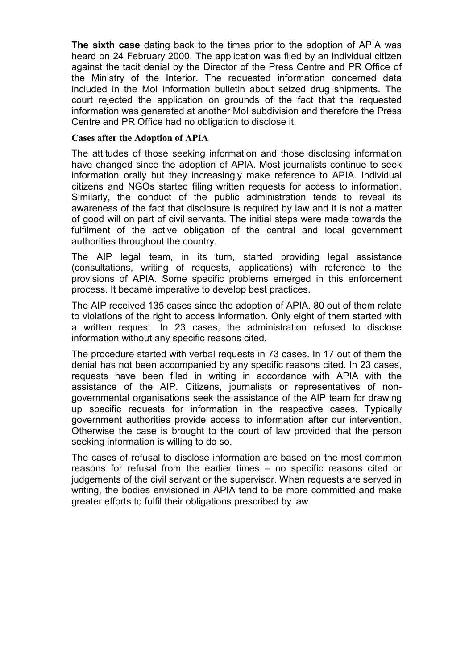**The sixth case** dating back to the times prior to the adoption of APIA was heard on 24 February 2000. The application was filed by an individual citizen against the tacit denial by the Director of the Press Centre and PR Office of the Ministry of the Interior. The requested information concerned data included in the MoI information bulletin about seized drug shipments. The court rejected the application on grounds of the fact that the requested information was generated at another MoI subdivision and therefore the Press Centre and PR Office had no obligation to disclose it.

#### **Cases after the Adoption of APIA**

The attitudes of those seeking information and those disclosing information have changed since the adoption of APIA. Most journalists continue to seek information orally but they increasingly make reference to APIA. Individual citizens and NGOs started filing written requests for access to information. Similarly, the conduct of the public administration tends to reveal its awareness of the fact that disclosure is required by law and it is not a matter of good will on part of civil servants. The initial steps were made towards the fulfilment of the active obligation of the central and local government authorities throughout the country.

The AIP legal team, in its turn, started providing legal assistance (consultations, writing of requests, applications) with reference to the provisions of APIA. Some specific problems emerged in this enforcement process. It became imperative to develop best practices.

The AIP received 135 cases since the adoption of APIA. 80 out of them relate to violations of the right to access information. Only eight of them started with a written request. In 23 cases, the administration refused to disclose information without any specific reasons cited.

The procedure started with verbal requests in 73 cases. In 17 out of them the denial has not been accompanied by any specific reasons cited. In 23 cases, requests have been filed in writing in accordance with APIA with the assistance of the AIP. Citizens, journalists or representatives of nongovernmental organisations seek the assistance of the AIP team for drawing up specific requests for information in the respective cases. Typically government authorities provide access to information after our intervention. Otherwise the case is brought to the court of law provided that the person seeking information is willing to do so.

The cases of refusal to disclose information are based on the most common reasons for refusal from the earlier times – no specific reasons cited or judgements of the civil servant or the supervisor. When requests are served in writing, the bodies envisioned in APIA tend to be more committed and make greater efforts to fulfil their obligations prescribed by law.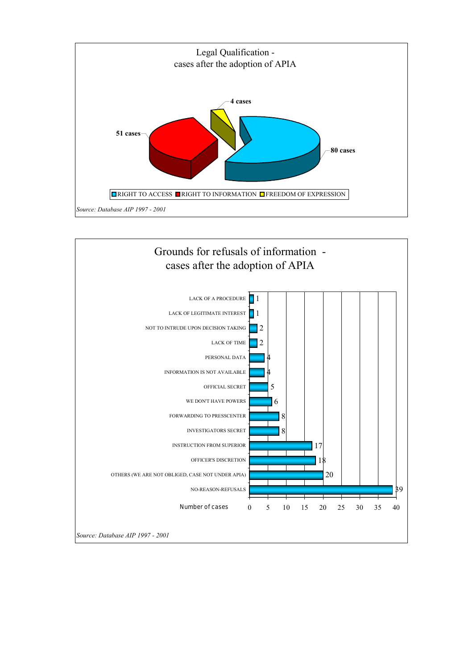

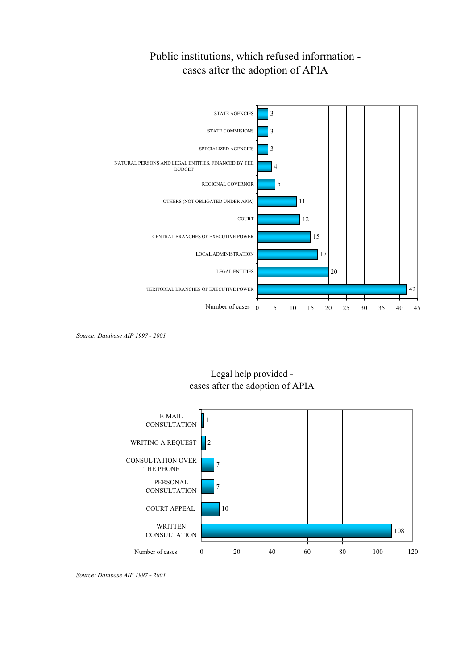

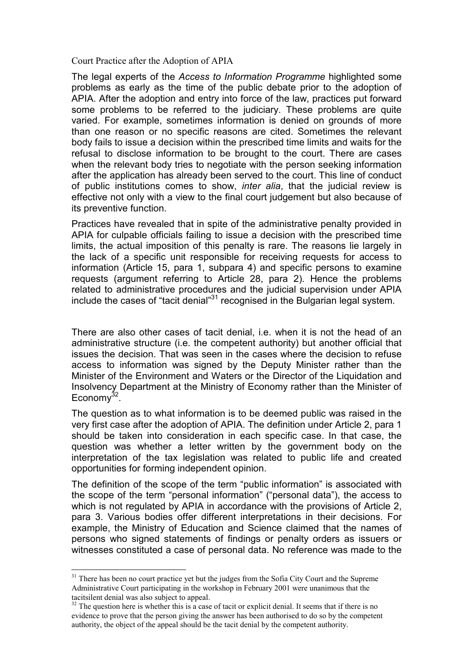Court Practice after the Adoption of APIA

The legal experts of the *Access to Information Programme* highlighted some problems as early as the time of the public debate prior to the adoption of APIA. After the adoption and entry into force of the law, practices put forward some problems to be referred to the judiciary. These problems are quite varied. For example, sometimes information is denied on grounds of more than one reason or no specific reasons are cited. Sometimes the relevant body fails to issue a decision within the prescribed time limits and waits for the refusal to disclose information to be brought to the court. There are cases when the relevant body tries to negotiate with the person seeking information after the application has already been served to the court. This line of conduct of public institutions comes to show, *inter alia*, that the judicial review is effective not only with a view to the final court judgement but also because of its preventive function.

Practices have revealed that in spite of the administrative penalty provided in APIA for culpable officials failing to issue a decision with the prescribed time limits, the actual imposition of this penalty is rare. The reasons lie largely in the lack of a specific unit responsible for receiving requests for access to information (Article 15, para 1, subpara 4) and specific persons to examine requests (argument referring to Article 28, para 2). Hence the problems related to administrative procedures and the judicial supervision under APIA include the cases of "tacit denial"31 recognised in the Bulgarian legal system.

There are also other cases of tacit denial, i.e. when it is not the head of an administrative structure (i.e. the competent authority) but another official that issues the decision. That was seen in the cases where the decision to refuse access to information was signed by the Deputy Minister rather than the Minister of the Environment and Waters or the Director of the Liquidation and Insolvency Department at the Ministry of Economy rather than the Minister of Economy $32$ .

The question as to what information is to be deemed public was raised in the very first case after the adoption of APIA. The definition under Article 2, para 1 should be taken into consideration in each specific case. In that case, the question was whether a letter written by the government body on the interpretation of the tax legislation was related to public life and created opportunities for forming independent opinion.

The definition of the scope of the term "public information" is associated with the scope of the term "personal information" ("personal data"), the access to which is not regulated by APIA in accordance with the provisions of Article 2, para 3. Various bodies offer different interpretations in their decisions. For example, the Ministry of Education and Science claimed that the names of persons who signed statements of findings or penalty orders as issuers or witnesses constituted a case of personal data. No reference was made to the

<sup>&</sup>lt;sup>31</sup> There has been no court practice yet but the judges from the Sofia City Court and the Supreme Administrative Court participating in the workshop in February 2001 were unanimous that the tacitsilent denial was also subject to appeal.

 $32$  The question here is whether this is a case of tacit or explicit denial. It seems that if there is no evidence to prove that the person giving the answer has been authorised to do so by the competent authority, the object of the appeal should be the tacit denial by the competent authority.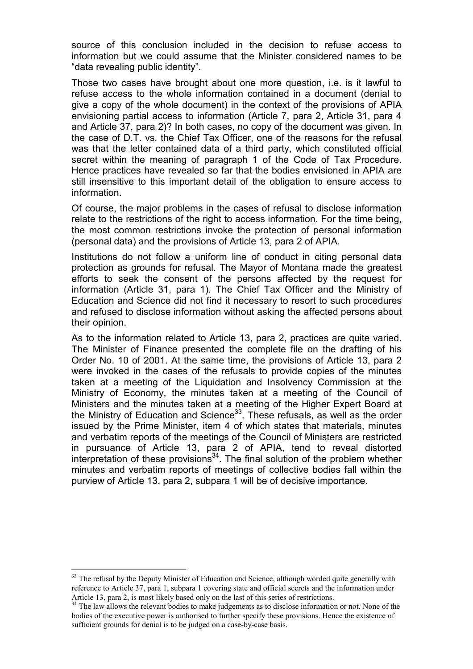source of this conclusion included in the decision to refuse access to information but we could assume that the Minister considered names to be "data revealing public identity".

Those two cases have brought about one more question, i.e. is it lawful to refuse access to the whole information contained in a document (denial to give a copy of the whole document) in the context of the provisions of APIA envisioning partial access to information (Article 7, para 2, Article 31, para 4 and Article 37, para 2)? In both cases, no copy of the document was given. In the case of D.T. vs. the Chief Tax Officer, one of the reasons for the refusal was that the letter contained data of a third party, which constituted official secret within the meaning of paragraph 1 of the Code of Tax Procedure. Hence practices have revealed so far that the bodies envisioned in APIA are still insensitive to this important detail of the obligation to ensure access to information.

Of course, the major problems in the cases of refusal to disclose information relate to the restrictions of the right to access information. For the time being, the most common restrictions invoke the protection of personal information (personal data) and the provisions of Article 13, para 2 of APIA.

Institutions do not follow a uniform line of conduct in citing personal data protection as grounds for refusal. The Mayor of Montana made the greatest efforts to seek the consent of the persons affected by the request for information (Article 31, para 1). The Chief Tax Officer and the Ministry of Education and Science did not find it necessary to resort to such procedures and refused to disclose information without asking the affected persons about their opinion.

As to the information related to Article 13, para 2, practices are quite varied. The Minister of Finance presented the complete file on the drafting of his Order No. 10 of 2001. At the same time, the provisions of Article 13, para 2 were invoked in the cases of the refusals to provide copies of the minutes taken at a meeting of the Liquidation and Insolvency Commission at the Ministry of Economy, the minutes taken at a meeting of the Council of Ministers and the minutes taken at a meeting of the Higher Expert Board at the Ministry of Education and Science<sup>33</sup>. These refusals, as well as the order issued by the Prime Minister, item 4 of which states that materials, minutes and verbatim reports of the meetings of the Council of Ministers are restricted in pursuance of Article 13, para 2 of APIA, tend to reveal distorted interpretation of these provisions<sup>34</sup>. The final solution of the problem whether minutes and verbatim reports of meetings of collective bodies fall within the purview of Article 13, para 2, subpara 1 will be of decisive importance.

<sup>&</sup>lt;sup>33</sup> The refusal by the Deputy Minister of Education and Science, although worded quite generally with reference to Article 37, para 1, subpara 1 covering state and official secrets and the information under Article 13, para 2, is most likely based only on the last of this series of restrictions.

<sup>&</sup>lt;sup>34</sup> The law allows the relevant bodies to make judgements as to disclose information or not. None of the bodies of the executive power is authorised to further specify these provisions. Hence the existence of sufficient grounds for denial is to be judged on a case-by-case basis.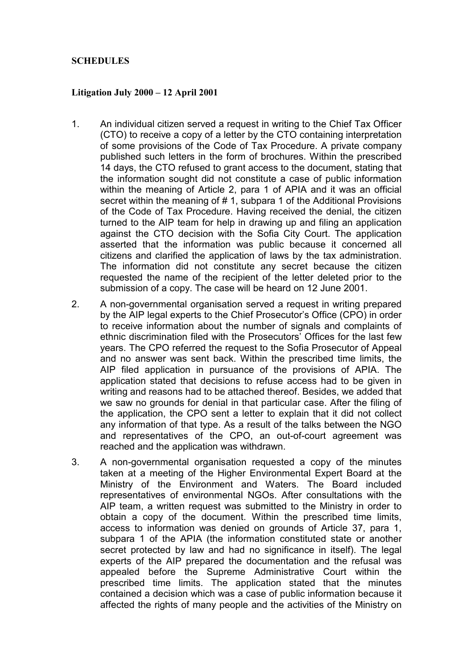#### **SCHEDULES**

#### **Litigation July 2000 – 12 April 2001**

- 1. An individual citizen served a request in writing to the Chief Tax Officer (CTO) to receive a copy of a letter by the CTO containing interpretation of some provisions of the Code of Tax Procedure. A private company published such letters in the form of brochures. Within the prescribed 14 days, the CTO refused to grant access to the document, stating that the information sought did not constitute a case of public information within the meaning of Article 2, para 1 of APIA and it was an official secret within the meaning of #1, subpara 1 of the Additional Provisions of the Code of Tax Procedure. Having received the denial, the citizen turned to the AIP team for help in drawing up and filing an application against the CTO decision with the Sofia City Court. The application asserted that the information was public because it concerned all citizens and clarified the application of laws by the tax administration. The information did not constitute any secret because the citizen requested the name of the recipient of the letter deleted prior to the submission of a copy. The case will be heard on 12 June 2001.
- 2. A non-governmental organisation served a request in writing prepared by the AIP legal experts to the Chief Prosecutor's Office (CPO) in order to receive information about the number of signals and complaints of ethnic discrimination filed with the Prosecutors' Offices for the last few years. The CPO referred the request to the Sofia Prosecutor of Appeal and no answer was sent back. Within the prescribed time limits, the AIP filed application in pursuance of the provisions of APIA. The application stated that decisions to refuse access had to be given in writing and reasons had to be attached thereof. Besides, we added that we saw no grounds for denial in that particular case. After the filing of the application, the CPO sent a letter to explain that it did not collect any information of that type. As a result of the talks between the NGO and representatives of the CPO, an out-of-court agreement was reached and the application was withdrawn.
- 3. A non-governmental organisation requested a copy of the minutes taken at a meeting of the Higher Environmental Expert Board at the Ministry of the Environment and Waters. The Board included representatives of environmental NGOs. After consultations with the AIP team, a written request was submitted to the Ministry in order to obtain a copy of the document. Within the prescribed time limits, access to information was denied on grounds of Article 37, para 1, subpara 1 of the APIA (the information constituted state or another secret protected by law and had no significance in itself). The legal experts of the AIP prepared the documentation and the refusal was appealed before the Supreme Administrative Court within the prescribed time limits. The application stated that the minutes contained a decision which was a case of public information because it affected the rights of many people and the activities of the Ministry on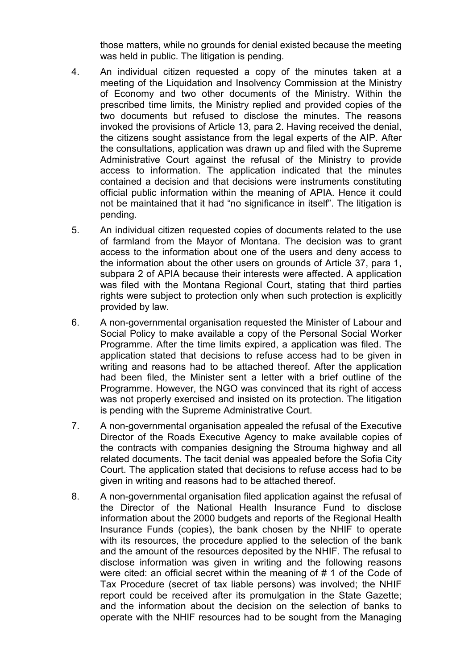those matters, while no grounds for denial existed because the meeting was held in public. The litigation is pending.

- 4. An individual citizen requested a copy of the minutes taken at a meeting of the Liquidation and Insolvency Commission at the Ministry of Economy and two other documents of the Ministry. Within the prescribed time limits, the Ministry replied and provided copies of the two documents but refused to disclose the minutes. The reasons invoked the provisions of Article 13, para 2. Having received the denial, the citizens sought assistance from the legal experts of the AIP. After the consultations, application was drawn up and filed with the Supreme Administrative Court against the refusal of the Ministry to provide access to information. The application indicated that the minutes contained a decision and that decisions were instruments constituting official public information within the meaning of APIA. Hence it could not be maintained that it had "no significance in itself". The litigation is pending.
- 5. An individual citizen requested copies of documents related to the use of farmland from the Mayor of Montana. The decision was to grant access to the information about one of the users and deny access to the information about the other users on grounds of Article 37, para 1, subpara 2 of APIA because their interests were affected. A application was filed with the Montana Regional Court, stating that third parties rights were subject to protection only when such protection is explicitly provided by law.
- 6. A non-governmental organisation requested the Minister of Labour and Social Policy to make available a copy of the Personal Social Worker Programme. After the time limits expired, a application was filed. The application stated that decisions to refuse access had to be given in writing and reasons had to be attached thereof. After the application had been filed, the Minister sent a letter with a brief outline of the Programme. However, the NGO was convinced that its right of access was not properly exercised and insisted on its protection. The litigation is pending with the Supreme Administrative Court.
- 7. A non-governmental organisation appealed the refusal of the Executive Director of the Roads Executive Agency to make available copies of the contracts with companies designing the Strouma highway and all related documents. The tacit denial was appealed before the Sofia City Court. The application stated that decisions to refuse access had to be given in writing and reasons had to be attached thereof.
- 8. A non-governmental organisation filed application against the refusal of the Director of the National Health Insurance Fund to disclose information about the 2000 budgets and reports of the Regional Health Insurance Funds (copies), the bank chosen by the NHIF to operate with its resources, the procedure applied to the selection of the bank and the amount of the resources deposited by the NHIF. The refusal to disclose information was given in writing and the following reasons were cited: an official secret within the meaning of # 1 of the Code of Tax Procedure (secret of tax liable persons) was involved; the NHIF report could be received after its promulgation in the State Gazette; and the information about the decision on the selection of banks to operate with the NHIF resources had to be sought from the Managing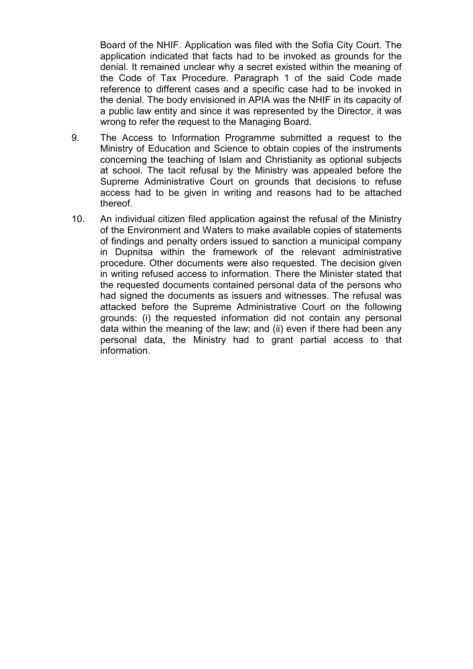Board of the NHIF. Application was filed with the Sofia City Court. The application indicated that facts had to be invoked as grounds for the denial. It remained unclear why a secret existed within the meaning of the Code of Tax Procedure. Paragraph 1 of the said Code made reference to different cases and a specific case had to be invoked in the denial. The body envisioned in APIA was the NHIF in its capacity of a public law entity and since it was represented by the Director, it was wrong to refer the request to the Managing Board.

- 9. The Access to Information Programme submitted a request to the Ministry of Education and Science to obtain copies of the instruments concerning the teaching of Islam and Christianity as optional subjects at school. The tacit refusal by the Ministry was appealed before the Supreme Administrative Court on grounds that decisions to refuse access had to be given in writing and reasons had to be attached thereof.
- 10. An individual citizen filed application against the refusal of the Ministry of the Environment and Waters to make available copies of statements of findings and penalty orders issued to sanction a municipal company in Dupnitsa within the framework of the relevant administrative procedure. Other documents were also requested. The decision given in writing refused access to information. There the Minister stated that the requested documents contained personal data of the persons who had signed the documents as issuers and witnesses. The refusal was attacked before the Supreme Administrative Court on the following grounds: (i) the requested information did not contain any personal data within the meaning of the law; and (ii) even if there had been any personal data, the Ministry had to grant partial access to that information.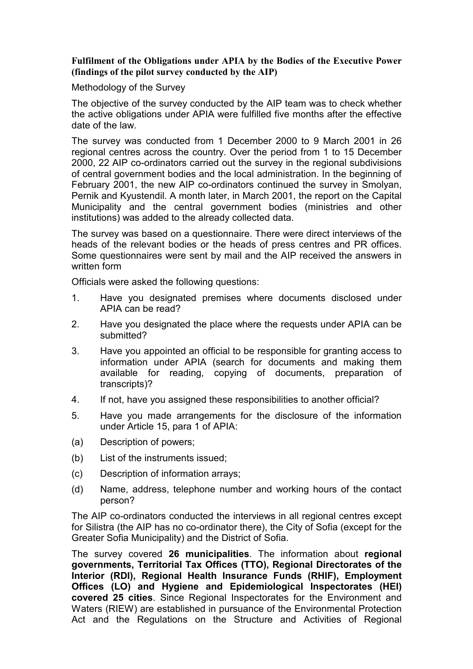#### **Fulfilment of the Obligations under APIA by the Bodies of the Executive Power (findings of the pilot survey conducted by the AIP)**

#### Methodology of the Survey

The objective of the survey conducted by the AIP team was to check whether the active obligations under APIA were fulfilled five months after the effective date of the law.

The survey was conducted from 1 December 2000 to 9 March 2001 in 26 regional centres across the country. Over the period from 1 to 15 December 2000, 22 AIP co-ordinators carried out the survey in the regional subdivisions of central government bodies and the local administration. In the beginning of February 2001, the new AIP co-ordinators continued the survey in Smolyan, Pernik and Kyustendil. A month later, in March 2001, the report on the Capital Municipality and the central government bodies (ministries and other institutions) was added to the already collected data.

The survey was based on a questionnaire. There were direct interviews of the heads of the relevant bodies or the heads of press centres and PR offices. Some questionnaires were sent by mail and the AIP received the answers in written form

Officials were asked the following questions:

- 1. Have you designated premises where documents disclosed under APIA can be read?
- 2. Have you designated the place where the requests under APIA can be submitted?
- 3. Have you appointed an official to be responsible for granting access to information under APIA (search for documents and making them available for reading, copying of documents, preparation of transcripts)?
- 4. If not, have you assigned these responsibilities to another official?
- 5. Have you made arrangements for the disclosure of the information under Article 15, para 1 of APIA:
- (a) Description of powers;
- (b) List of the instruments issued;
- (c) Description of information arrays;
- (d) Name, address, telephone number and working hours of the contact person?

The AIP co-ordinators conducted the interviews in all regional centres except for Silistra (the AIP has no co-ordinator there), the City of Sofia (except for the Greater Sofia Municipality) and the District of Sofia.

The survey covered **26 municipalities**. The information about **regional governments, Territorial Tax Offices (TTO), Regional Directorates of the Interior (RDI), Regional Health Insurance Funds (RHIF), Employment Offices (LO) and Hygiene and Epidemiological Inspectorates (HEI) covered 25 cities**. Since Regional Inspectorates for the Environment and Waters (RIEW) are established in pursuance of the Environmental Protection Act and the Regulations on the Structure and Activities of Regional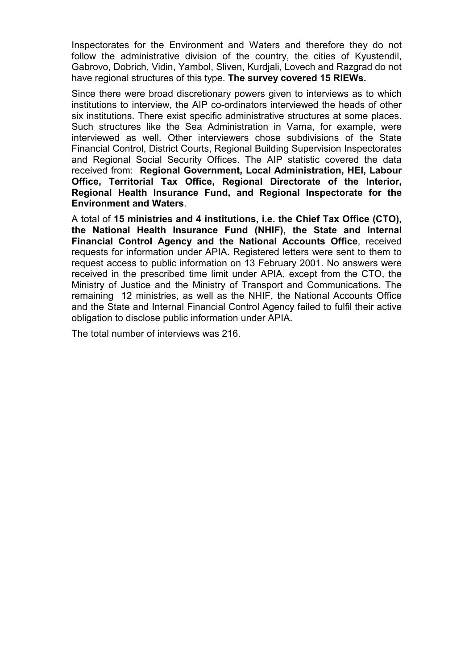Inspectorates for the Environment and Waters and therefore they do not follow the administrative division of the country, the cities of Kyustendil, Gabrovo, Dobrich, Vidin, Yambol, Sliven, Kurdjali, Lovech and Razgrad do not have regional structures of this type. **The survey covered 15 RIEWs.**

Since there were broad discretionary powers given to interviews as to which institutions to interview, the AIP co-ordinators interviewed the heads of other six institutions. There exist specific administrative structures at some places. Such structures like the Sea Administration in Varna, for example, were interviewed as well. Other interviewers chose subdivisions of the State Financial Control, District Courts, Regional Building Supervision Inspectorates and Regional Social Security Offices. The AIP statistic covered the data received from: **Regional Government, Local Administration, HEI, Labour Office, Territorial Tax Office, Regional Directorate of the Interior, Regional Health Insurance Fund, and Regional Inspectorate for the Environment and Waters**.

A total of **15 ministries and 4 institutions, i.e. the Chief Tax Office (CTO), the National Health Insurance Fund (NHIF), the State and Internal Financial Control Agency and the National Accounts Office**, received requests for information under APIA. Registered letters were sent to them to request access to public information on 13 February 2001. No answers were received in the prescribed time limit under APIA, except from the CTO, the Ministry of Justice and the Ministry of Transport and Communications. The remaining 12 ministries, as well as the NHIF, the National Accounts Office and the State and Internal Financial Control Agency failed to fulfil their active obligation to disclose public information under APIA.

The total number of interviews was 216.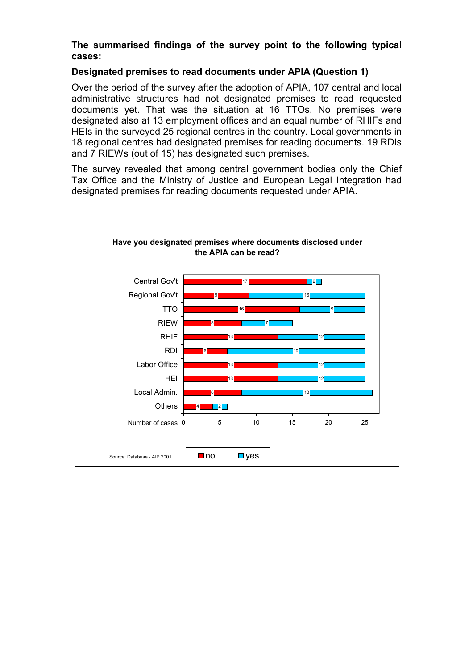#### **The summarised findings of the survey point to the following typical cases:**

#### **Designated premises to read documents under APIA (Question 1)**

Over the period of the survey after the adoption of APIA, 107 central and local administrative structures had not designated premises to read requested documents yet. That was the situation at 16 TTOs. No premises were designated also at 13 employment offices and an equal number of RHIFs and HEIs in the surveyed 25 regional centres in the country. Local governments in 18 regional centres had designated premises for reading documents. 19 RDIs and 7 RIEWs (out of 15) has designated such premises.

The survey revealed that among central government bodies only the Chief Tax Office and the Ministry of Justice and European Legal Integration had designated premises for reading documents requested under APIA.

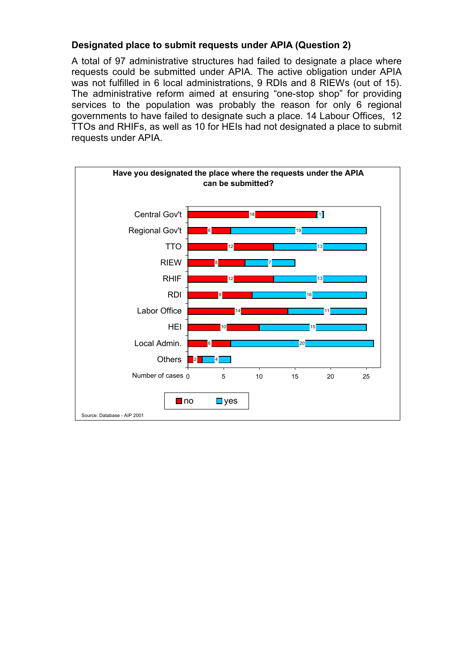## **Designated place to submit requests under APIA (Question 2)**

A total of 97 administrative structures had failed to designate a place where requests could be submitted under APIA. The active obligation under APIA was not fulfilled in 6 local administrations, 9 RDIs and 8 RIEWs (out of 15). The administrative reform aimed at ensuring "one-stop shop" for providing services to the population was probably the reason for only 6 regional governments to have failed to designate such a place. 14 Labour Offices, 12 TTOs and RHIFs, as well as 10 for HEIs had not designated a place to submit requests under APIA.

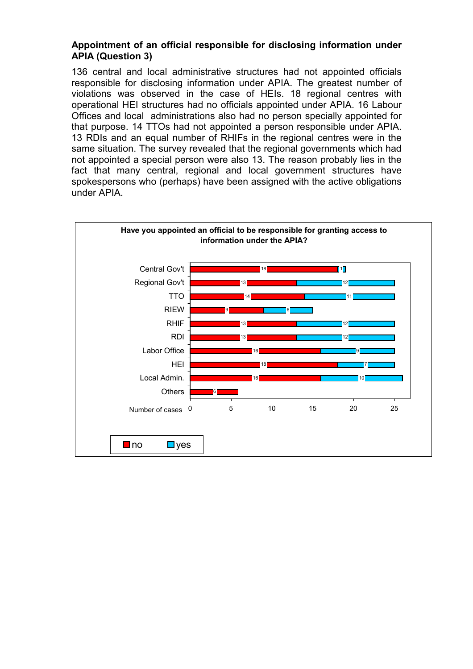## **Appointment of an official responsible for disclosing information under APIA (Question 3)**

136 central and local administrative structures had not appointed officials responsible for disclosing information under APIA. The greatest number of violations was observed in the case of HEIs. 18 regional centres with operational HEI structures had no officials appointed under APIA. 16 Labour Offices and local administrations also had no person specially appointed for that purpose. 14 TTOs had not appointed a person responsible under APIA. 13 RDIs and an equal number of RHIFs in the regional centres were in the same situation. The survey revealed that the regional governments which had not appointed a special person were also 13. The reason probably lies in the fact that many central, regional and local government structures have spokespersons who (perhaps) have been assigned with the active obligations under APIA.

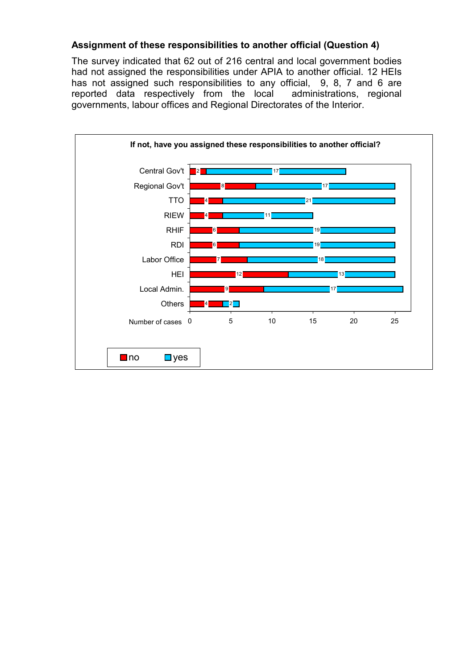# **Assignment of these responsibilities to another official (Question 4)**

The survey indicated that 62 out of 216 central and local government bodies had not assigned the responsibilities under APIA to another official. 12 HEIs has not assigned such responsibilities to any official, 9, 8, 7 and 6 are reported data respectively from the local administrations, regional governments, labour offices and Regional Directorates of the Interior.

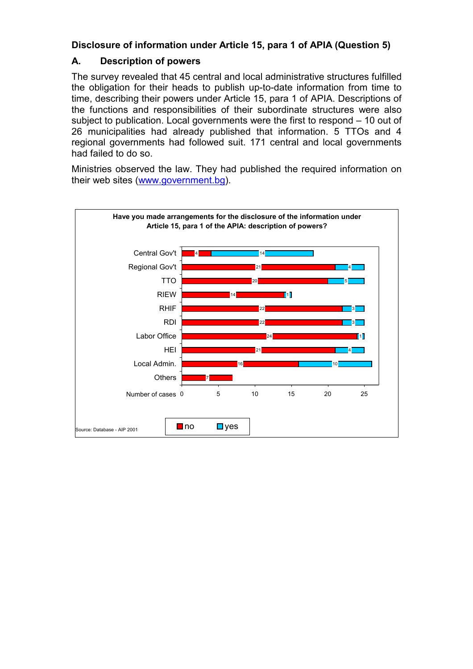## **Disclosure of information under Article 15, para 1 of APIA (Question 5)**

## **A. Description of powers**

The survey revealed that 45 central and local administrative structures fulfilled the obligation for their heads to publish up-to-date information from time to time, describing their powers under Article 15, para 1 of APIA. Descriptions of the functions and responsibilities of their subordinate structures were also subject to publication. Local governments were the first to respond – 10 out of 26 municipalities had already published that information. 5 TTOs and 4 regional governments had followed suit. 171 central and local governments had failed to do so.

Ministries observed the law. They had published the required information on their web sites (www.government.bg).

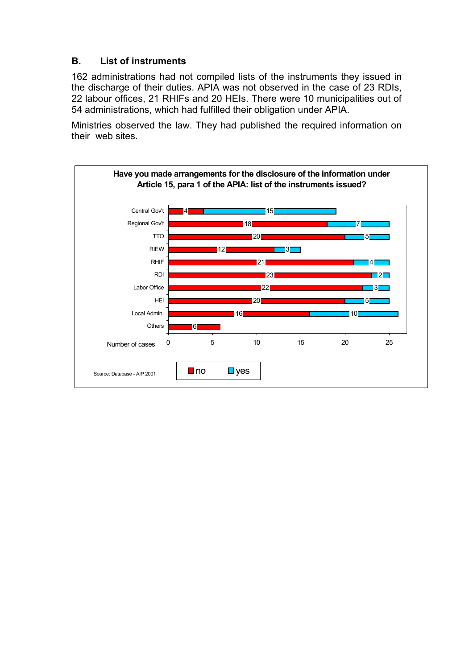## **B. List of instruments**

162 administrations had not compiled lists of the instruments they issued in the discharge of their duties. APIA was not observed in the case of 23 RDIs, 22 labour offices, 21 RHIFs and 20 HEIs. There were 10 municipalities out of 54 administrations, which had fulfilled their obligation under APIA.

Ministries observed the law. They had published the required information on their web sites.

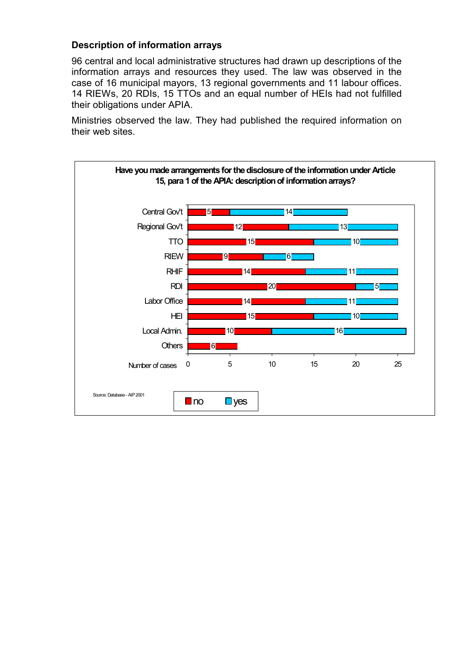### **Description of information arrays**

96 central and local administrative structures had drawn up descriptions of the information arrays and resources they used. The law was observed in the case of 16 municipal mayors, 13 regional governments and 11 labour offices. 14 RIEWs, 20 RDIs, 15 TTOs and an equal number of HEIs had not fulfilled their obligations under APIA.

Ministries observed the law. They had published the required information on their web sites.